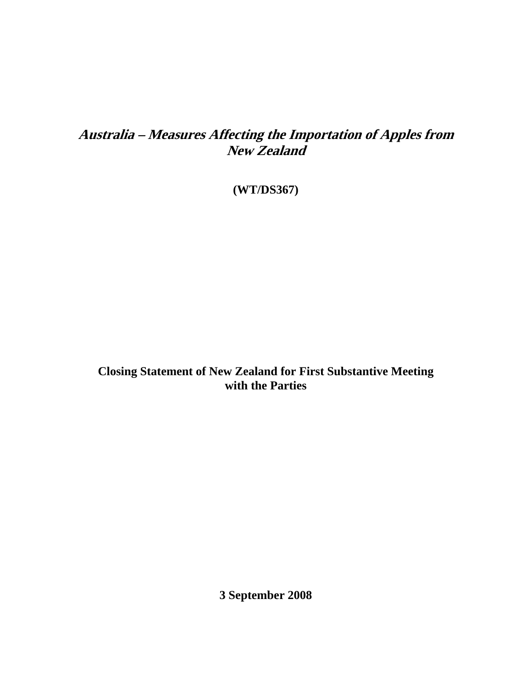## **Australia – Measures Affecting the Importation of Apples from New Zealand**

**(WT/DS367)** 

**Closing Statement of New Zealand for First Substantive Meeting with the Parties** 

**3 September 2008**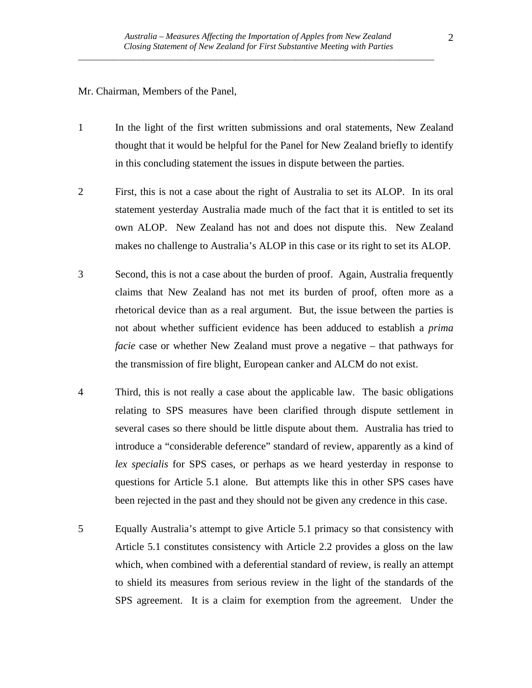Mr. Chairman, Members of the Panel,

- 1 In the light of the first written submissions and oral statements, New Zealand thought that it would be helpful for the Panel for New Zealand briefly to identify in this concluding statement the issues in dispute between the parties.
- 2 First, this is not a case about the right of Australia to set its ALOP. In its oral statement yesterday Australia made much of the fact that it is entitled to set its own ALOP. New Zealand has not and does not dispute this. New Zealand makes no challenge to Australia's ALOP in this case or its right to set its ALOP.
- 3 Second, this is not a case about the burden of proof. Again, Australia frequently claims that New Zealand has not met its burden of proof, often more as a rhetorical device than as a real argument. But, the issue between the parties is not about whether sufficient evidence has been adduced to establish a *prima facie* case or whether New Zealand must prove a negative – that pathways for the transmission of fire blight, European canker and ALCM do not exist.
- 4 Third, this is not really a case about the applicable law. The basic obligations relating to SPS measures have been clarified through dispute settlement in several cases so there should be little dispute about them. Australia has tried to introduce a "considerable deference" standard of review, apparently as a kind of *lex specialis* for SPS cases, or perhaps as we heard yesterday in response to questions for Article 5.1 alone. But attempts like this in other SPS cases have been rejected in the past and they should not be given any credence in this case.
- 5 Equally Australia's attempt to give Article 5.1 primacy so that consistency with Article 5.1 constitutes consistency with Article 2.2 provides a gloss on the law which, when combined with a deferential standard of review, is really an attempt to shield its measures from serious review in the light of the standards of the SPS agreement. It is a claim for exemption from the agreement. Under the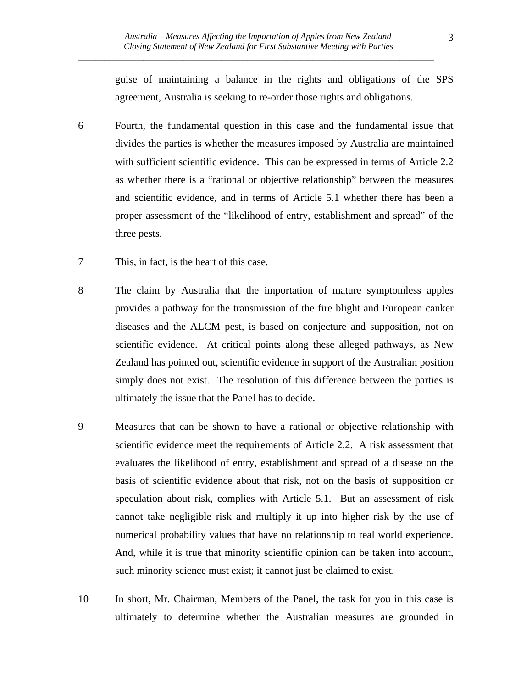guise of maintaining a balance in the rights and obligations of the SPS agreement, Australia is seeking to re-order those rights and obligations.

- 6 Fourth, the fundamental question in this case and the fundamental issue that divides the parties is whether the measures imposed by Australia are maintained with sufficient scientific evidence. This can be expressed in terms of Article 2.2 as whether there is a "rational or objective relationship" between the measures and scientific evidence, and in terms of Article 5.1 whether there has been a proper assessment of the "likelihood of entry, establishment and spread" of the three pests.
- 7 This, in fact, is the heart of this case.
- 8 The claim by Australia that the importation of mature symptomless apples provides a pathway for the transmission of the fire blight and European canker diseases and the ALCM pest, is based on conjecture and supposition, not on scientific evidence. At critical points along these alleged pathways, as New Zealand has pointed out, scientific evidence in support of the Australian position simply does not exist. The resolution of this difference between the parties is ultimately the issue that the Panel has to decide.
- 9 Measures that can be shown to have a rational or objective relationship with scientific evidence meet the requirements of Article 2.2. A risk assessment that evaluates the likelihood of entry, establishment and spread of a disease on the basis of scientific evidence about that risk, not on the basis of supposition or speculation about risk, complies with Article 5.1. But an assessment of risk cannot take negligible risk and multiply it up into higher risk by the use of numerical probability values that have no relationship to real world experience. And, while it is true that minority scientific opinion can be taken into account, such minority science must exist; it cannot just be claimed to exist.
- 10 In short, Mr. Chairman, Members of the Panel, the task for you in this case is ultimately to determine whether the Australian measures are grounded in